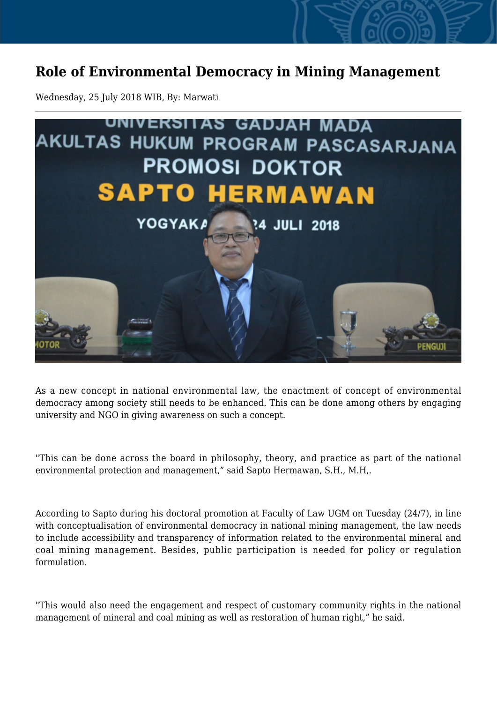## **Role of Environmental Democracy in Mining Management**

Wednesday, 25 July 2018 WIB, By: Marwati



As a new concept in national environmental law, the enactment of concept of environmental democracy among society still needs to be enhanced. This can be done among others by engaging university and NGO in giving awareness on such a concept.

"This can be done across the board in philosophy, theory, and practice as part of the national environmental protection and management," said Sapto Hermawan, S.H., M.H,.

According to Sapto during his doctoral promotion at Faculty of Law UGM on Tuesday (24/7), in line with conceptualisation of environmental democracy in national mining management, the law needs to include accessibility and transparency of information related to the environmental mineral and coal mining management. Besides, public participation is needed for policy or regulation formulation.

"This would also need the engagement and respect of customary community rights in the national management of mineral and coal mining as well as restoration of human right," he said.